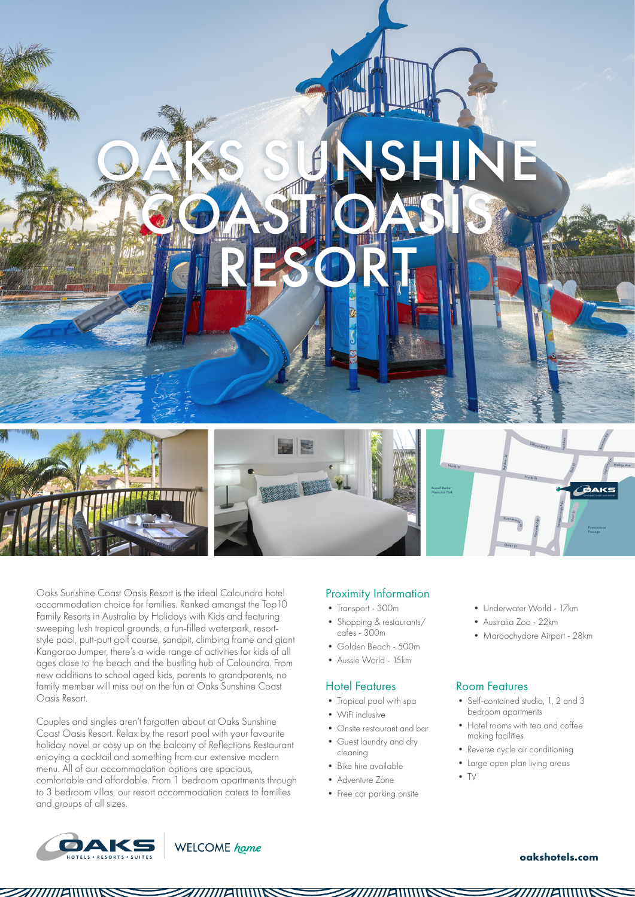

Oaks Sunshine Coast Oasis Resort is the ideal Caloundra hotel accommodation choice for families. Ranked amongst the Top10 Family Resorts in Australia by Holidays with Kids and featuring sweeping lush tropical grounds, a fun-filled waterpark, resortstyle pool, putt-putt golf course, sandpit, climbing frame and giant Kangaroo Jumper, there's a wide range of activities for kids of all ages close to the beach and the bustling hub of Caloundra. From new additions to school aged kids, parents to grandparents, no family member will miss out on the fun at Oaks Sunshine Coast Oasis Resort.

Couples and singles aren't forgotten about at Oaks Sunshine Coast Oasis Resort. Relax by the resort pool with your favourite holiday novel or cosy up on the balcony of Reflections Restaurant enjoying a cocktail and something from our extensive modern menu. All of our accommodation options are spacious, comfortable and affordable. From 1 bedroom apartments through to 3 bedroom villas, our resort accommodation caters to families and groups of all sizes.

## Proximity Information

- Transport 300m
- Shopping & restaurants/ cafes - 300m
- Golden Beach 500m • Aussie World - 15km
- 

#### Hotel Features

- Tropical pool with spa
- WiFi inclusive
- Onsite restaurant and bar
- Guest laundry and dry cleaning
- Bike hire available
- Adventure Zone
- 
- Free car parking onsite
- Underwater World 17km
- Australia Zoo 22km
- Maroochydore Airport 28km

#### Room Features

- Self-contained studio, 1, 2 and 3 bedroom apartments
- Hotel rooms with tea and coffee making facilities
- Reverse cycle air conditioning
- Large open plan living areas
- 

• TV





#### **oakshotels.com**